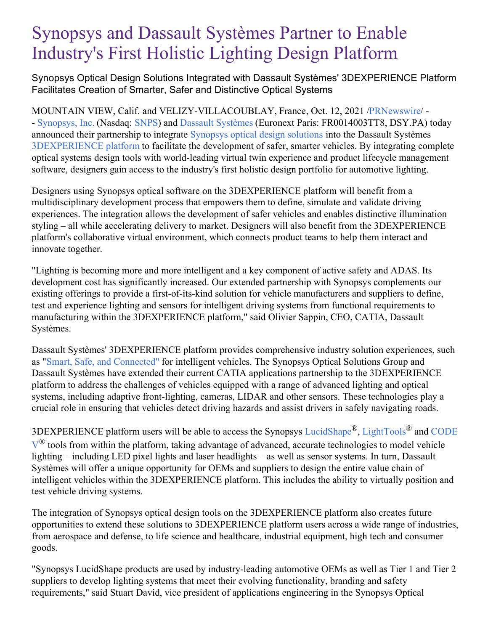# Synopsys and Dassault Systèmes Partner to Enable Industry's First Holistic Lighting Design Platform

Synopsys Optical Design Solutions Integrated with Dassault Systèmes' 3DEXPERIENCE Platform Facilitates Creation of Smarter, Safer and Distinctive Optical Systems

MOUNTAIN VIEW, Calif. and VELIZY-VILLACOUBLAY, France, Oct. 12, 2021 [/PRNewswire/](http://www.prnewswire.com/) - - [Synopsys,](https://c212.net/c/link/?t=0&l=en&o=3319431-1&h=2127656310&u=https%3A%2F%2Fwww.synopsys.com%2F%3Fcmp%3Dpr-sig&a=Synopsys%2C+Inc.) Inc. (Nasdaq: [SNPS](https://c212.net/c/link/?t=0&l=en&o=3319431-1&h=670174985&u=https%3A%2F%2Fwww.synopsys.com%2Fcompany%2Finvestor-relations.html&a=SNPS)) and Dassault [Systèmes](https://c212.net/c/link/?t=0&l=en&o=3319431-1&h=1658291944&u=http%3A%2F%2Fwww.3ds.com%2F&a=Dassault+Syst%C3%A8mes) (Euronext Paris: FR0014003TT8, DSY.PA) today announced their partnership to integrate [Synopsys](https://c212.net/c/link/?t=0&l=en&o=3319431-1&h=452753234&u=https%3A%2F%2Fwww.synopsys.com%2Foptical-solutions.html&a=Synopsys+optical+design+solutions) optical design solutions into the Dassault Systèmes [3DEXPERIENCE](https://c212.net/c/link/?t=0&l=en&o=3319431-1&h=4220147093&u=https%3A%2F%2Fwww.3ds.com%2Fproducts-services%2F3dexperience%2F&a=3DEXPERIENCE+platform) platform to facilitate the development of safer, smarter vehicles. By integrating complete optical systems design tools with world-leading virtual twin experience and product lifecycle management software, designers gain access to the industry's first holistic design portfolio for automotive lighting.

Designers using Synopsys optical software on the 3DEXPERIENCE platform will benefit from a multidisciplinary development process that empowers them to define, simulate and validate driving experiences. The integration allows the development of safer vehicles and enables distinctive illumination styling – all while accelerating delivery to market. Designers will also benefit from the 3DEXPERIENCE platform's collaborative virtual environment, which connects product teams to help them interact and innovate together.

"Lighting is becoming more and more intelligent and a key component of active safety and ADAS. Its development cost has significantly increased. Our extended partnership with Synopsys complements our existing offerings to provide a first-of-its-kind solution for vehicle manufacturers and suppliers to define, test and experience lighting and sensors for intelligent driving systems from functional requirements to manufacturing within the 3DEXPERIENCE platform," said Olivier Sappin, CEO, CATIA, Dassault Systèmes.

Dassault Systèmes' 3DEXPERIENCE platform provides comprehensive industry solution experiences, such as "Smart, Safe, and [Connected"](https://c212.net/c/link/?t=0&l=en&o=3319431-1&h=3544447520&u=https%3A%2F%2Fifwe.3ds.com%2Ftransportation-mobility%2Fsmart-safe-and-connected&a=Smart%2C+Safe%2C+and+Connected%22) for intelligent vehicles. The Synopsys Optical Solutions Group and Dassault Systèmes have extended their current CATIA applications partnership to the 3DEXPERIENCE platform to address the challenges of vehicles equipped with a range of advanced lighting and optical systems, including adaptive front-lighting, cameras, LIDAR and other sensors. These technologies play a crucial role in ensuring that vehicles detect driving hazards and assist drivers in safely navigating roads.

[3DEXPERIENCE](https://c212.net/c/link/?t=0&l=en&o=3319431-1&h=1869935338&u=https%3A%2F%2Fwww.synopsys.com%2Foptical-solutions%2Fcodev.html&a=CODE+V) platform users will be able to access the Synopsys [LucidShape](https://c212.net/c/link/?t=0&l=en&o=3319431-1&h=6803638&u=https%3A%2F%2Fwww.synopsys.com%2Foptical-solutions%2Flucidshape.html&a=LucidShape)®, [LightTools](https://c212.net/c/link/?t=0&l=en&o=3319431-1&h=1800917608&u=https%3A%2F%2Fwww.synopsys.com%2Foptical-solutions%2Flighttools.html&a=LightTools)® and CODE  $V^{\circledR}$  tools from within the platform, taking advantage of advanced, accurate technologies to model vehicle lighting – including LED pixel lights and laser headlights – as well as sensor systems. In turn, Dassault Systèmes will offer a unique opportunity for OEMs and suppliers to design the entire value chain of intelligent vehicles within the 3DEXPERIENCE platform. This includes the ability to virtually position and

test vehicle driving systems.

The integration of Synopsys optical design tools on the 3DEXPERIENCE platform also creates future opportunities to extend these solutions to 3DEXPERIENCE platform users across a wide range of industries, from aerospace and defense, to life science and healthcare, industrial equipment, high tech and consumer goods.

"Synopsys LucidShape products are used by industry-leading automotive OEMs as well as Tier 1 and Tier 2 suppliers to develop lighting systems that meet their evolving functionality, branding and safety requirements," said Stuart David, vice president of applications engineering in the Synopsys Optical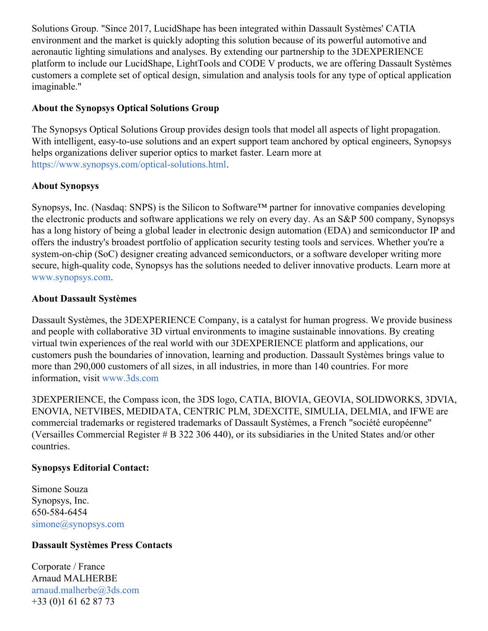Solutions Group. "Since 2017, LucidShape has been integrated within Dassault Systèmes' CATIA environment and the market is quickly adopting this solution because of its powerful automotive and aeronautic lighting simulations and analyses. By extending our partnership to the 3DEXPERIENCE platform to include our LucidShape, LightTools and CODE V products, we are offering Dassault Systèmes customers a complete set of optical design, simulation and analysis tools for any type of optical application imaginable."

### **About the Synopsys Optical Solutions Group**

The Synopsys Optical Solutions Group provides design tools that model all aspects of light propagation. With intelligent, easy-to-use solutions and an expert support team anchored by optical engineers, Synopsys helps organizations deliver superior optics to market faster. Learn more at [https://www.synopsys.com/optical-solutions.html](https://c212.net/c/link/?t=0&l=en&o=3319431-1&h=3987164378&u=https%3A%2F%2Fwww.synopsys.com%2Foptical-solutions.html&a=https%3A%2F%2Fwww.synopsys.com%2Foptical-solutions.html).

## **About Synopsys**

Synopsys, Inc. (Nasdaq: SNPS) is the Silicon to Software™ partner for innovative companies developing the electronic products and software applications we rely on every day. As an S&P 500 company, Synopsys has a long history of being a global leader in electronic design automation (EDA) and semiconductor IP and offers the industry's broadest portfolio of application security testing tools and services. Whether you're a system-on-chip (SoC) designer creating advanced semiconductors, or a software developer writing more secure, high-quality code, Synopsys has the solutions needed to deliver innovative products. Learn more at [www.synopsys.com.](https://c212.net/c/link/?t=0&l=en&o=3319431-1&h=3573918708&u=http%3A%2F%2Fwww.synopsys.com%2F&a=www.synopsys.com)

#### **About Dassault Systèmes**

Dassault Systèmes, the 3DEXPERIENCE Company, is a catalyst for human progress. We provide business and people with collaborative 3D virtual environments to imagine sustainable innovations. By creating virtual twin experiences of the real world with our 3DEXPERIENCE platform and applications, our customers push the boundaries of innovation, learning and production. Dassault Systèmes brings value to more than 290,000 customers of all sizes, in all industries, in more than 140 countries. For more information, visit [www.3ds.com](https://c212.net/c/link/?t=0&l=en&o=3319431-1&h=1549881784&u=http%3A%2F%2Fwww.3ds.com%2F&a=www.3ds.com)

3DEXPERIENCE, the Compass icon, the 3DS logo, CATIA, BIOVIA, GEOVIA, SOLIDWORKS, 3DVIA, ENOVIA, NETVIBES, MEDIDATA, CENTRIC PLM, 3DEXCITE, SIMULIA, DELMIA, and IFWE are commercial trademarks or registered trademarks of Dassault Systèmes, a French "société européenne" (Versailles Commercial Register # B 322 306 440), or its subsidiaries in the United States and/or other countries.

#### **Synopsys Editorial Contact:**

Simone Souza Synopsys, Inc. 650-584-6454 [simone@synopsys.com](mailto:simone@synopsys.com)

#### **Dassault Systèmes Press Contacts**

Corporate / France Arnaud MALHERBE [arnaud.malherbe@3ds.com](mailto:arnaud.malherbe@3ds.com) +33 (0)1 61 62 87 73